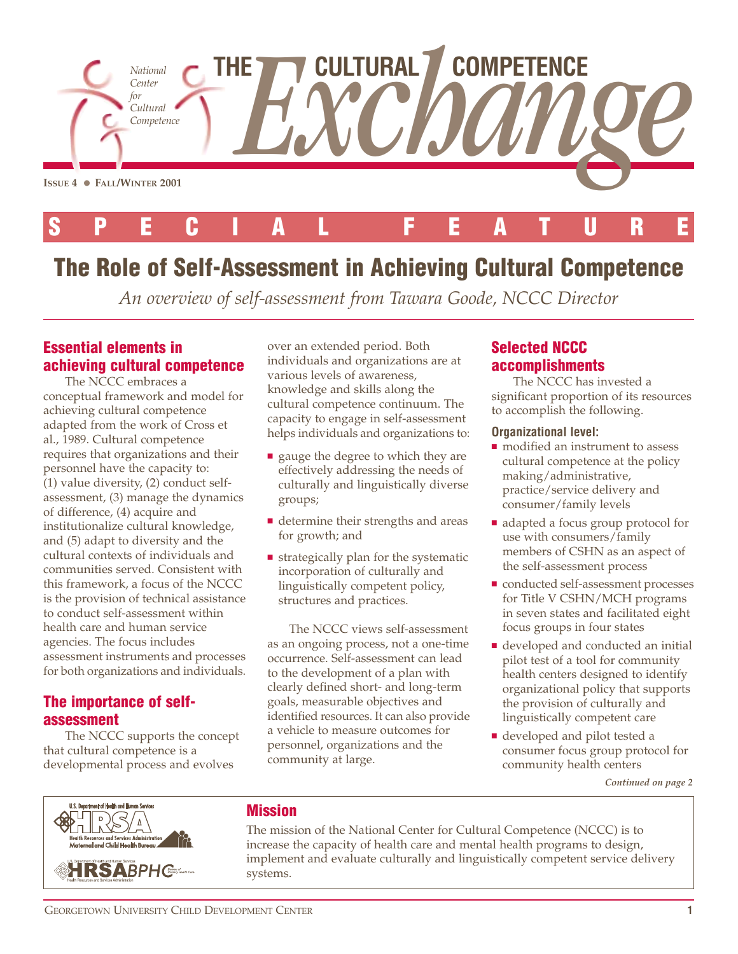

# **The Role of Self-Assessment in Achieving Cultural Competence**

*An overview of self-assessment from Tawara Goode, NCCC Director*

## **Essential elements in achieving cultural competence**

The NCCC embraces a conceptual framework and model for achieving cultural competence adapted from the work of Cross et al., 1989. Cultural competence requires that organizations and their personnel have the capacity to: (1) value diversity, (2) conduct selfassessment, (3) manage the dynamics of difference, (4) acquire and institutionalize cultural knowledge, and (5) adapt to diversity and the cultural contexts of individuals and communities served. Consistent with this framework, a focus of the NCCC is the provision of technical assistance to conduct self-assessment within health care and human service agencies. The focus includes assessment instruments and processes for both organizations and individuals.

## **The importance of selfassessment**

The NCCC supports the concept that cultural competence is a developmental process and evolves

over an extended period. Both individuals and organizations are at various levels of awareness, knowledge and skills along the cultural competence continuum. The capacity to engage in self-assessment helps individuals and organizations to:

- gauge the degree to which they are effectively addressing the needs of culturally and linguistically diverse groups;
- determine their strengths and areas for growth; and
- strategically plan for the systematic incorporation of culturally and linguistically competent policy, structures and practices.

The NCCC views self-assessment as an ongoing process, not a one-time occurrence. Self-assessment can lead to the development of a plan with clearly defined short- and long-term goals, measurable objectives and identified resources. It can also provide a vehicle to measure outcomes for personnel, organizations and the community at large.

# **Selected NCCC accomplishments**

The NCCC has invested a significant proportion of its resources to accomplish the following.

#### **Organizational level:**

- modified an instrument to assess cultural competence at the policy making/administrative, practice/service delivery and consumer/family levels
- adapted a focus group protocol for use with consumers/family members of CSHN as an aspect of the self-assessment process
- conducted self-assessment processes for Title V CSHN/MCH programs in seven states and facilitated eight focus groups in four states
- developed and conducted an initial pilot test of a tool for community health centers designed to identify organizational policy that supports the provision of culturally and linguistically competent care
- developed and pilot tested a consumer focus group protocol for community health centers

*Continued on page 2*



## **Mission**

The mission of the National Center for Cultural Competence (NCCC) is to increase the capacity of health care and mental health programs to design, implement and evaluate culturally and linguistically competent service delivery systems.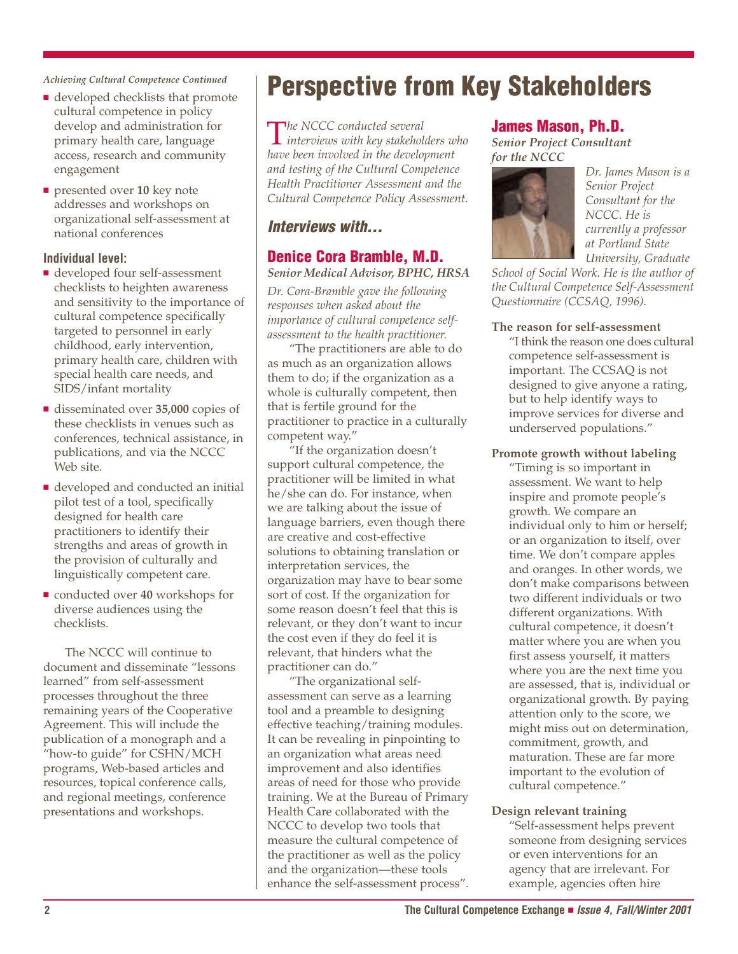*Achieving Cultural Competence Continued*

- developed checklists that promote cultural competence in policy develop and administration for primary health care, language access, research and community engagement
- presented over **10** key note addresses and workshops on organizational self-assessment at national conferences

#### **Individual level:**

- developed four self-assessment checklists to heighten awareness and sensitivity to the importance of cultural competence specifically targeted to personnel in early childhood, early intervention, primary health care, children with special health care needs, and SIDS/infant mortality
- disseminated over **35,000** copies of these checklists in venues such as conferences, technical assistance, in publications, and via the NCCC Web site.
- developed and conducted an initial pilot test of a tool, specifically designed for health care practitioners to identify their strengths and areas of growth in the provision of culturally and linguistically competent care.
- conducted over **40** workshops for diverse audiences using the checklists.

The NCCC will continue to document and disseminate "lessons learned" from self-assessment processes throughout the three remaining years of the Cooperative Agreement. This will include the publication of a monograph and a "how-to guide" for CSHN/MCH programs, Web-based articles and resources, topical conference calls, and regional meetings, conference presentations and workshops.

# **Perspective from Key Stakeholders**

T*he NCCC conducted several interviews with key stakeholders who have been involved in the development and testing of the Cultural Competence Health Practitioner Assessment and the Cultural Competence Policy Assessment.*

## *Interviews with…*

## **Denice Cora Bramble, M.D.**

*Senior Medical Advisor, BPHC, HRSA*

*Dr. Cora-Bramble gave the following responses when asked about the importance of cultural competence selfassessment to the health practitioner.*

"The practitioners are able to do as much as an organization allows them to do; if the organization as a whole is culturally competent, then that is fertile ground for the practitioner to practice in a culturally competent way."

"If the organization doesn't support cultural competence, the practitioner will be limited in what he/she can do. For instance, when we are talking about the issue of language barriers, even though there are creative and cost-effective solutions to obtaining translation or interpretation services, the organization may have to bear some sort of cost. If the organization for some reason doesn't feel that this is relevant, or they don't want to incur the cost even if they do feel it is relevant, that hinders what the practitioner can do."

"The organizational selfassessment can serve as a learning tool and a preamble to designing effective teaching/training modules. It can be revealing in pinpointing to an organization what areas need improvement and also identifies areas of need for those who provide training. We at the Bureau of Primary Health Care collaborated with the NCCC to develop two tools that measure the cultural competence of the practitioner as well as the policy and the organization—these tools enhance the self-assessment process".

### **James Mason, Ph.D.**

*Senior Project Consultant for the NCCC*



*Dr. James Mason is a Senior Project Consultant for the NCCC. He is currently a professor at Portland State University, Graduate*

*School of Social Work. He is the author of the Cultural Competence Self-Assessment Questionnaire (CCSAQ, 1996).*

#### **The reason for self-assessment**

"I think the reason one does cultural competence self-assessment is important. The CCSAQ is not designed to give anyone a rating, but to help identify ways to improve services for diverse and underserved populations."

#### **Promote growth without labeling**

"Timing is so important in assessment. We want to help inspire and promote people's growth. We compare an individual only to him or herself; or an organization to itself, over time. We don't compare apples and oranges. In other words, we don't make comparisons between two different individuals or two different organizations. With cultural competence, it doesn't matter where you are when you first assess yourself, it matters where you are the next time you are assessed, that is, individual or organizational growth. By paying attention only to the score, we might miss out on determination, commitment, growth, and maturation. These are far more important to the evolution of cultural competence."

#### **Design relevant training**

"Self-assessment helps prevent someone from designing services or even interventions for an agency that are irrelevant. For example, agencies often hire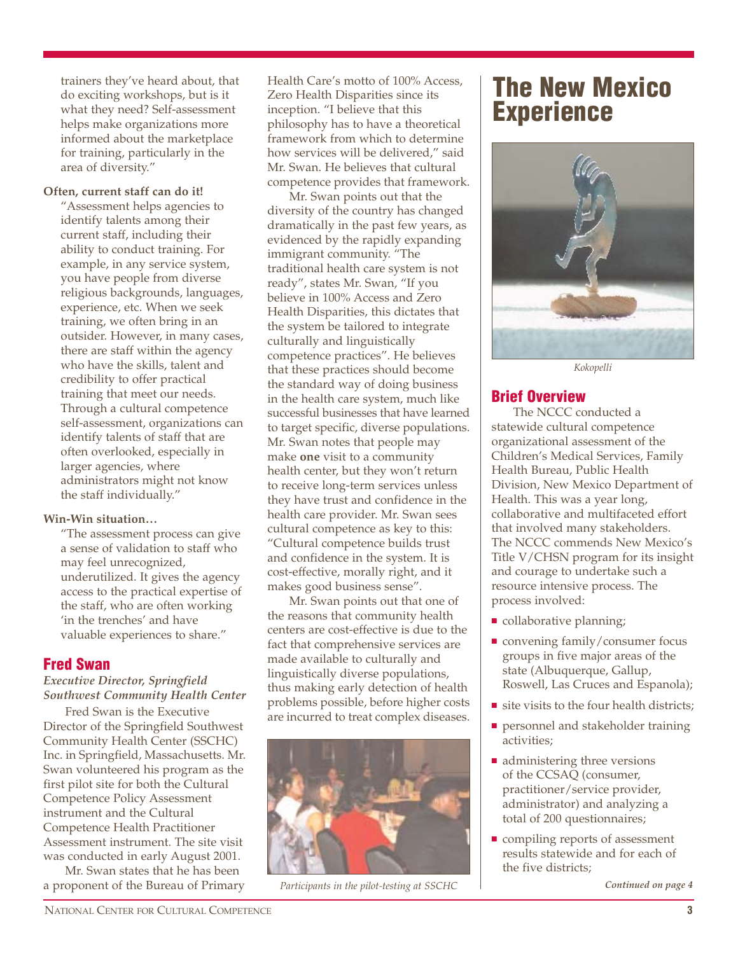trainers they've heard about, that do exciting workshops, but is it what they need? Self-assessment helps make organizations more informed about the marketplace for training, particularly in the area of diversity."

#### **Often, current staff can do it!**

"Assessment helps agencies to identify talents among their current staff, including their ability to conduct training. For example, in any service system, you have people from diverse religious backgrounds, languages, experience, etc. When we seek training, we often bring in an outsider. However, in many cases, there are staff within the agency who have the skills, talent and credibility to offer practical training that meet our needs. Through a cultural competence self-assessment, organizations can identify talents of staff that are often overlooked, especially in larger agencies, where administrators might not know the staff individually."

#### **Win-Win situation…**

"The assessment process can give a sense of validation to staff who may feel unrecognized, underutilized. It gives the agency access to the practical expertise of the staff, who are often working 'in the trenches' and have valuable experiences to share."

### **Fred Swan**

#### *Executive Director, Springfield Southwest Community Health Center*

Fred Swan is the Executive Director of the Springfield Southwest Community Health Center (SSCHC) Inc. in Springfield, Massachusetts. Mr. Swan volunteered his program as the first pilot site for both the Cultural Competence Policy Assessment instrument and the Cultural Competence Health Practitioner Assessment instrument. The site visit was conducted in early August 2001.

Mr. Swan states that he has been a proponent of the Bureau of Primary Health Care's motto of 100% Access, Zero Health Disparities since its inception. "I believe that this philosophy has to have a theoretical framework from which to determine how services will be delivered," said Mr. Swan. He believes that cultural competence provides that framework.

Mr. Swan points out that the diversity of the country has changed dramatically in the past few years, as evidenced by the rapidly expanding immigrant community. "The traditional health care system is not ready", states Mr. Swan, "If you believe in 100% Access and Zero Health Disparities, this dictates that the system be tailored to integrate culturally and linguistically competence practices". He believes that these practices should become the standard way of doing business in the health care system, much like successful businesses that have learned to target specific, diverse populations. Mr. Swan notes that people may make **one** visit to a community health center, but they won't return to receive long-term services unless they have trust and confidence in the health care provider. Mr. Swan sees cultural competence as key to this: "Cultural competence builds trust and confidence in the system. It is cost-effective, morally right, and it makes good business sense".

Mr. Swan points out that one of the reasons that community health centers are cost-effective is due to the fact that comprehensive services are made available to culturally and linguistically diverse populations, thus making early detection of health problems possible, before higher costs are incurred to treat complex diseases.



*Participants in the pilot-testing at SSCHC*

# **The New Mexico Experience**



*Kokopelli*

### **Brief Overview**

The NCCC conducted a statewide cultural competence organizational assessment of the Children's Medical Services, Family Health Bureau, Public Health Division, New Mexico Department of Health. This was a year long, collaborative and multifaceted effort that involved many stakeholders. The NCCC commends New Mexico's Title V/CHSN program for its insight and courage to undertake such a resource intensive process. The process involved:

- collaborative planning;
- convening family/consumer focus groups in five major areas of the state (Albuquerque, Gallup, Roswell, Las Cruces and Espanola);
- site visits to the four health districts;
- personnel and stakeholder training activities;
- administering three versions of the CCSAQ (consumer, practitioner/service provider, administrator) and analyzing a total of 200 questionnaires;
- compiling reports of assessment results statewide and for each of the five districts;

*Continued on page 4*